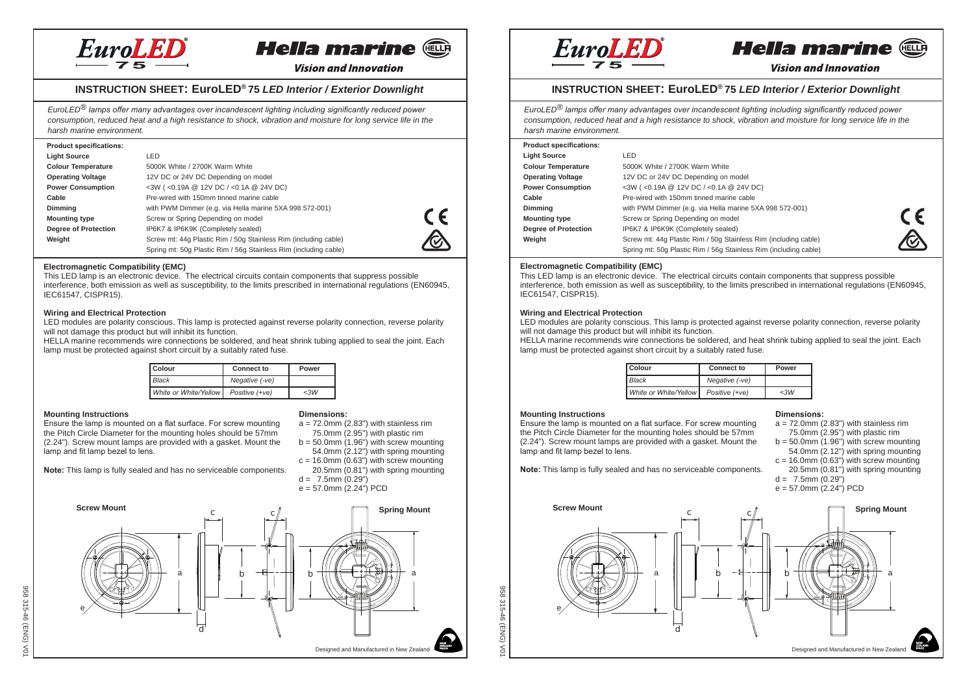



**Vision and Innovation** 

## **INSTRUCTION SHEET: EuroLED® 75** *LED Interior / Exterior Downlight*

*EuroLED® lamps offer many advantages over incandescent lighting including significantly reduced power consumption, reduced heat and a high resistance to shock, vibration and moisture for long service life in the harsh marine environment.*

| <b>Product specifications:</b> |                                                                  |  |
|--------------------------------|------------------------------------------------------------------|--|
| <b>Light Source</b>            | LED                                                              |  |
| <b>Colour Temperature</b>      | 5000K White / 2700K Warm White                                   |  |
| <b>Operating Voltage</b>       | 12V DC or 24V DC Depending on model                              |  |
| <b>Power Consumption</b>       | <3W (<0.19A @ 12V DC / <0.1A @ 24V DC)                           |  |
| Cable                          | Pre-wired with 150mm tinned marine cable                         |  |
| Dimming                        | with PWM Dimmer (e.g. via Hella marine 5XA 998 572-001)          |  |
| <b>Mounting type</b>           | Screw or Spring Depending on model                               |  |
| Degree of Protection           | IP6K7 & IP6K9K (Completely sealed)                               |  |
| Weight                         | Screw mt: 44g Plastic Rim / 50g Stainless Rim (including cable)  |  |
|                                | Spring mt: 50g Plastic Rim / 56g Stainless Rim (including cable) |  |



#### **Electromagnetic Compatibility (EMC)**

This LED lamp is an electronic device. The electrical circuits contain components that suppress possible interference, both emission as well as susceptibility, to the limits prescribed in international regulations (EN60945, IEC61547, CISPR15).

#### **Wiring and Electrical Protection**

LED modules are polarity conscious. This lamp is protected against reverse polarity connection, reverse polarity will not damage this product but will inhibit its function.

HELLA marine recommends wire connections be soldered, and heat shrink tubing applied to seal the joint. Each lamp must be protected against short circuit by a suitably rated fuse.

| Colour                | <b>Connect to</b> | Power |
|-----------------------|-------------------|-------|
| <b>Black</b>          | Negative (-ve)    |       |
| White or White/Yellow | Positive (+ve)    | <3W   |

### **Mounting Instructions**

Ensure the lamp is mounted on a flat surface. For screw mounting the Pitch Circle Diameter for the mounting holes should be 57mm (2.24"). Screw mount lamps are provided with a gasket. Mount the lamp and fit lamp bezel to lens.

**Note:** This lamp is fully sealed and has no serviceable components.

## **Dimensions:**

- $a = 72.0$ mm (2.83") with stainless rim 75.0mm (2.95") with plastic rim
- $b = 50.0$ mm  $(1.96)$  with screw mounting
- 54.0mm (2.12") with spring mounting
- $c = 16.0$ mm (0.63") with screw mounting 20.5mm (0.81") with spring mounting
- $d = 7.5$ mm  $(0.29")$
- e = 57.0mm (2.24") PCD